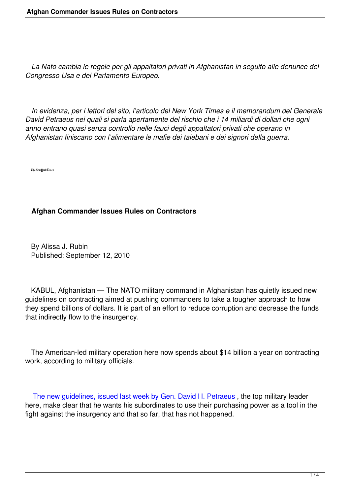*La Nato cambia le regole per gli appaltatori privati in Afghanistan in seguito alle denunce del Congresso Usa e del Parlamento Europeo.*

 *In evidenza, per i lettori del sito, l'articolo del New York Times e il memorandum del Generale David Petraeus nei quali si parla apertamente del rischio che i 14 miliardi di dollari che ogni anno entrano quasi senza controllo nelle fauci degli appaltatori privati che operano in Afghanistan finiscano con l'alimentare le mafie dei talebani e dei signori della guerra.*

The New York Times

## **Afghan Commander Issues Rules on Contractors**

 By Alissa J. Rubin Published: September 12, 2010

 KABUL, Afghanistan — The NATO military command in Afghanistan has quietly issued new guidelines on contracting aimed at pushing commanders to take a tougher approach to how they spend billions of dollars. It is part of an effort to reduce corruption and decrease the funds that indirectly flow to the insurgency.

 The American-led military operation here now spends about \$14 billion a year on contracting work, according to military officials.

 The new guidelines, issued last week by Gen. David H. Petraeus , the top military leader here, make clear that he wants his subordinates to use their purchasing power as a tool in the fight against the insurgency and that so far, that has not happened.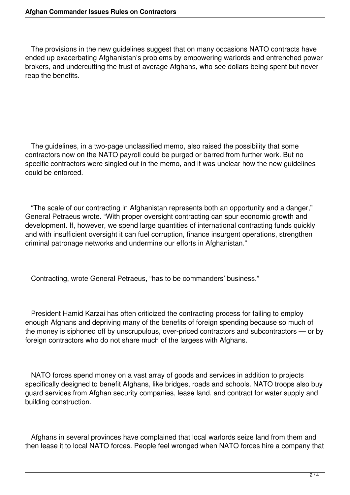The provisions in the new guidelines suggest that on many occasions NATO contracts have ended up exacerbating Afghanistan's problems by empowering warlords and entrenched power brokers, and undercutting the trust of average Afghans, who see dollars being spent but never reap the benefits.

 The guidelines, in a two-page unclassified memo, also raised the possibility that some contractors now on the NATO payroll could be purged or barred from further work. But no specific contractors were singled out in the memo, and it was unclear how the new guidelines could be enforced.

 "The scale of our contracting in Afghanistan represents both an opportunity and a danger," General Petraeus wrote. "With proper oversight contracting can spur economic growth and development. If, however, we spend large quantities of international contracting funds quickly and with insufficient oversight it can fuel corruption, finance insurgent operations, strengthen criminal patronage networks and undermine our efforts in Afghanistan."

Contracting, wrote General Petraeus, "has to be commanders' business."

 President Hamid Karzai has often criticized the contracting process for failing to employ enough Afghans and depriving many of the benefits of foreign spending because so much of the money is siphoned off by unscrupulous, over-priced contractors and subcontractors — or by foreign contractors who do not share much of the largess with Afghans.

 NATO forces spend money on a vast array of goods and services in addition to projects specifically designed to benefit Afghans, like bridges, roads and schools. NATO troops also buy guard services from Afghan security companies, lease land, and contract for water supply and building construction.

 Afghans in several provinces have complained that local warlords seize land from them and then lease it to local NATO forces. People feel wronged when NATO forces hire a company that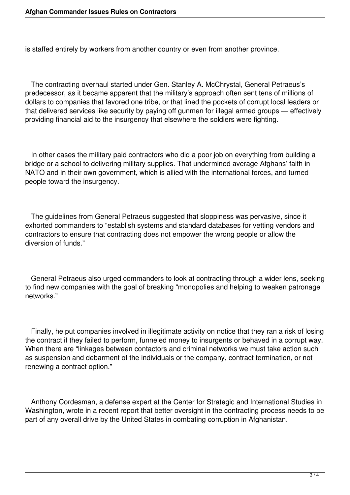is staffed entirely by workers from another country or even from another province.

 The contracting overhaul started under Gen. Stanley A. McChrystal, General Petraeus's predecessor, as it became apparent that the military's approach often sent tens of millions of dollars to companies that favored one tribe, or that lined the pockets of corrupt local leaders or that delivered services like security by paying off gunmen for illegal armed groups — effectively providing financial aid to the insurgency that elsewhere the soldiers were fighting.

 In other cases the military paid contractors who did a poor job on everything from building a bridge or a school to delivering military supplies. That undermined average Afghans' faith in NATO and in their own government, which is allied with the international forces, and turned people toward the insurgency.

 The guidelines from General Petraeus suggested that sloppiness was pervasive, since it exhorted commanders to "establish systems and standard databases for vetting vendors and contractors to ensure that contracting does not empower the wrong people or allow the diversion of funds."

 General Petraeus also urged commanders to look at contracting through a wider lens, seeking to find new companies with the goal of breaking "monopolies and helping to weaken patronage networks."

 Finally, he put companies involved in illegitimate activity on notice that they ran a risk of losing the contract if they failed to perform, funneled money to insurgents or behaved in a corrupt way. When there are "linkages between contactors and criminal networks we must take action such as suspension and debarment of the individuals or the company, contract termination, or not renewing a contract option."

 Anthony Cordesman, a defense expert at the Center for Strategic and International Studies in Washington, wrote in a recent report that better oversight in the contracting process needs to be part of any overall drive by the United States in combating corruption in Afghanistan.